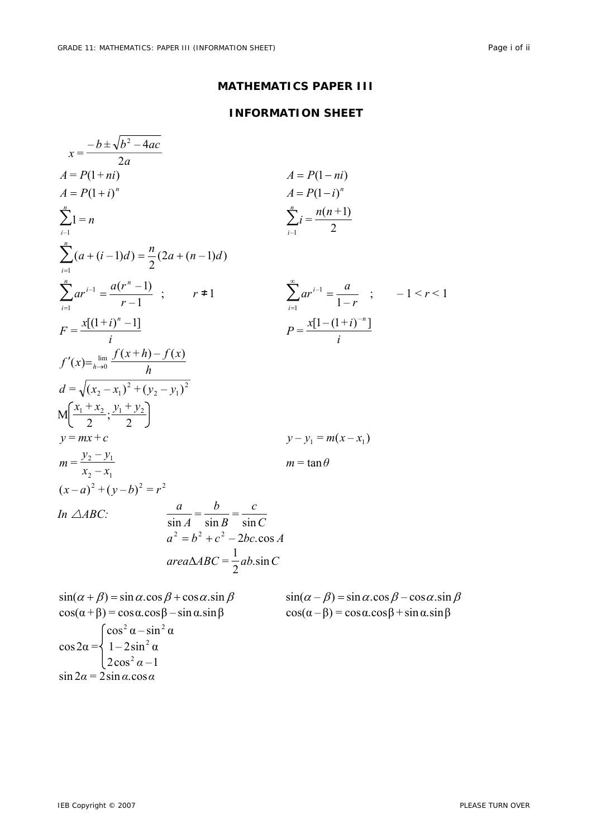## **MATHEMATICS PAPER III**

## **INFORMATION SHEET**

| $x = \frac{-b \pm \sqrt{b^2 - 4ac}}{2a}$                                                                             |                                                                                            |                                                                                      |  |
|----------------------------------------------------------------------------------------------------------------------|--------------------------------------------------------------------------------------------|--------------------------------------------------------------------------------------|--|
|                                                                                                                      |                                                                                            |                                                                                      |  |
| $A = P(1 + ni)$                                                                                                      |                                                                                            | $A = P(1 - ni)$                                                                      |  |
| $A = P(1 + i)^n$                                                                                                     |                                                                                            | $A = P(1 - i)^n$                                                                     |  |
| $\sum_{n=1}^{n}$                                                                                                     |                                                                                            | $\sum_{i=1}^{n} i = \frac{n(n+1)}{2}$                                                |  |
| $\sum (a + (i - 1)d) = \frac{n}{2}(2a + (n - 1)d)$                                                                   |                                                                                            |                                                                                      |  |
| $\sum_{i=1}^{n} ar^{i-1} = \frac{a(r^n - 1)}{r - 1}$ ; $r \neq 1$                                                    |                                                                                            | $\sum_{i=1}^{\infty} ar^{i-1} = \frac{a}{1-r}$ ; $-1 < r < 1$                        |  |
| $F = \frac{x[(1+i)^n - 1]}{i}$                                                                                       |                                                                                            | $P = \frac{x[1-(1+i)^{-n}]}{i}$                                                      |  |
| $f'(x) = \lim_{h \to 0} \frac{f(x+h) - f(x)}{h}$                                                                     |                                                                                            |                                                                                      |  |
| $d = \sqrt{(x_2 - x_1)^2 + (y_2 - y_1)^2}$                                                                           |                                                                                            |                                                                                      |  |
| $M\left(\frac{x_1+x_2}{2}; \frac{y_1+y_2}{2}\right)$                                                                 |                                                                                            |                                                                                      |  |
| $y = mx + c$                                                                                                         |                                                                                            | $y - y_1 = m(x - x_1)$                                                               |  |
| $m = \frac{y_2 - y_1}{x_2 - x_1}$                                                                                    |                                                                                            | $m = \tan \theta$                                                                    |  |
| $(x-a)^2 + (y-b)^2 = r^2$                                                                                            |                                                                                            |                                                                                      |  |
| In $\triangle ABC$ :                                                                                                 | $\frac{a}{\sin A} = \frac{b}{\sin B} = \frac{c}{\sin C}$<br>$a^2 = b^2 + c^2 - 2bc \cos A$ |                                                                                      |  |
|                                                                                                                      | $area \triangle ABC = \frac{1}{2}ab \sin C$                                                |                                                                                      |  |
| $\sin(\alpha + \beta) = \sin \alpha \cdot \cos \beta + \cos \alpha \cdot \sin \beta$                                 |                                                                                            | $\sin(\alpha - \beta) = \sin \alpha \cdot \cos \beta - \cos \alpha \cdot \sin \beta$ |  |
| $\cos(\alpha + \beta) = \cos \alpha \cdot \cos \beta - \sin \alpha \cdot \sin \beta$                                 |                                                                                            | $\cos(\alpha - \beta) = \cos \alpha \cdot \cos \beta + \sin \alpha \cdot \sin \beta$ |  |
|                                                                                                                      |                                                                                            |                                                                                      |  |
| $\cos 2\alpha = \begin{cases} \cos^2 \alpha - \sin^2 \alpha \\ 1 - 2\sin^2 \alpha \\ 2\cos^2 \alpha - 1 \end{cases}$ |                                                                                            |                                                                                      |  |
|                                                                                                                      |                                                                                            |                                                                                      |  |
| $\sin 2\alpha = 2 \sin \alpha \cdot \cos \alpha$                                                                     |                                                                                            |                                                                                      |  |